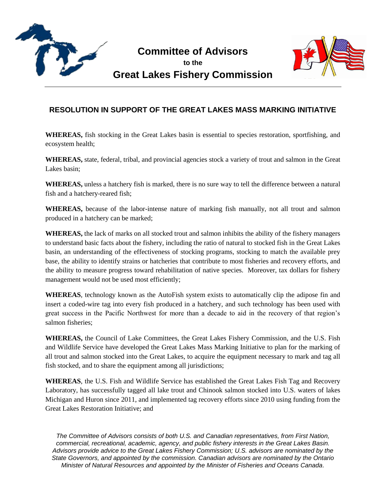

**Committee of Advisors to the**





## **RESOLUTION IN SUPPORT OF THE GREAT LAKES MASS MARKING INITIATIVE**

**WHEREAS,** fish stocking in the Great Lakes basin is essential to species restoration, sportfishing, and ecosystem health;

**WHEREAS,** state, federal, tribal, and provincial agencies stock a variety of trout and salmon in the Great Lakes basin;

**WHEREAS,** unless a hatchery fish is marked, there is no sure way to tell the difference between a natural fish and a hatchery-reared fish;

**WHEREAS,** because of the labor-intense nature of marking fish manually, not all trout and salmon produced in a hatchery can be marked;

**WHEREAS,** the lack of marks on all stocked trout and salmon inhibits the ability of the fishery managers to understand basic facts about the fishery, including the ratio of natural to stocked fish in the Great Lakes basin, an understanding of the effectiveness of stocking programs, stocking to match the available prey base, the ability to identify strains or hatcheries that contribute to most fisheries and recovery efforts, and the ability to measure progress toward rehabilitation of native species. Moreover, tax dollars for fishery management would not be used most efficiently;

**WHEREAS**, technology known as the AutoFish system exists to automatically clip the adipose fin and insert a coded-wire tag into every fish produced in a hatchery, and such technology has been used with great success in the Pacific Northwest for more than a decade to aid in the recovery of that region's salmon fisheries;

**WHEREAS,** the Council of Lake Committees, the Great Lakes Fishery Commission, and the U.S. Fish and Wildlife Service have developed the Great Lakes Mass Marking Initiative to plan for the marking of all trout and salmon stocked into the Great Lakes, to acquire the equipment necessary to mark and tag all fish stocked, and to share the equipment among all jurisdictions;

**WHEREAS**, the U.S. Fish and Wildlife Service has established the Great Lakes Fish Tag and Recovery Laboratory, has successfully tagged all lake trout and Chinook salmon stocked into U.S. waters of lakes Michigan and Huron since 2011, and implemented tag recovery efforts since 2010 using funding from the Great Lakes Restoration Initiative; and

*The Committee of Advisors consists of both U.S. and Canadian representatives, from First Nation, commercial, recreational, academic, agency, and public fishery interests in the Great Lakes Basin. Advisors provide advice to the Great Lakes Fishery Commission; U.S. advisors are nominated by the State Governors, and appointed by the commission. Canadian advisors are nominated by the Ontario Minister of Natural Resources and appointed by the Minister of Fisheries and Oceans Canada.*